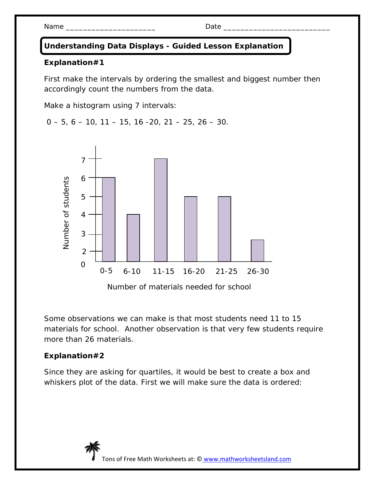Name \_\_\_\_\_\_\_\_\_\_\_\_\_\_\_\_\_\_\_\_\_ Date \_\_\_\_\_\_\_\_\_\_\_\_\_\_\_\_\_\_\_\_\_\_\_\_\_

## **Understanding Data Displays - Guided Lesson Explanation**

## **Explanation#1**

First make the intervals by ordering the smallest and biggest number then accordingly count the numbers from the data.

Make a histogram using 7 intervals:

 $0 - 5$ ,  $6 - 10$ ,  $11 - 15$ ,  $16 - 20$ ,  $21 - 25$ ,  $26 - 30$ .



Some observations we can make is that most students need 11 to 15 materials for school. Another observation is that very few students require more than 26 materials.

## **Explanation#2**

Since they are asking for quartiles, it would be best to create a box and whiskers plot of the data. First we will make sure the data is ordered: